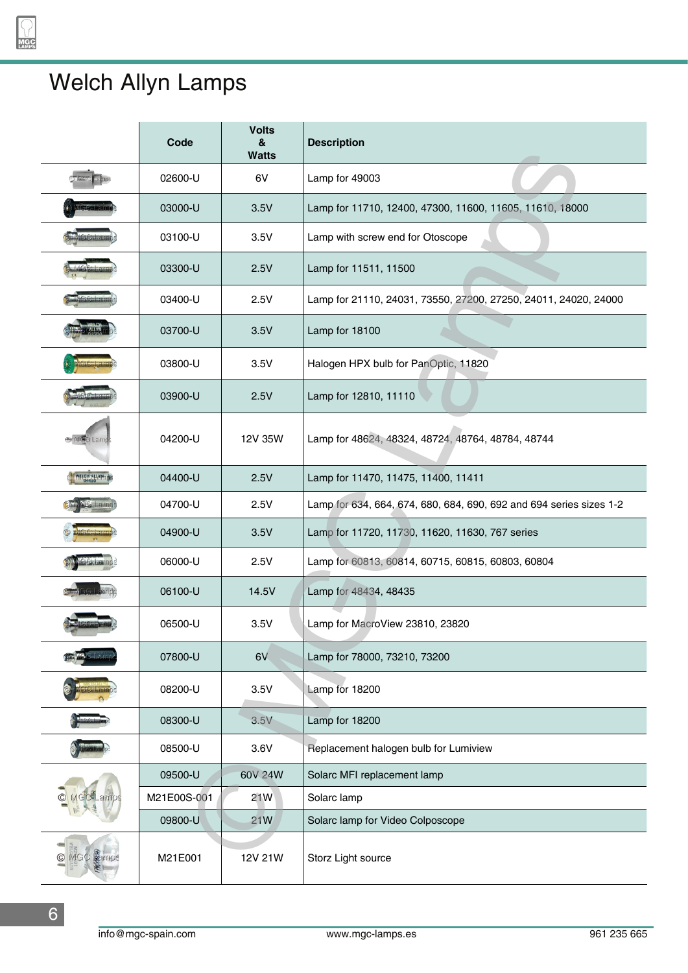## Welch Allyn Lamps

|                    | Code        | <b>Volts</b><br>&<br><b>Watts</b> | <b>Description</b>                                                  |
|--------------------|-------------|-----------------------------------|---------------------------------------------------------------------|
|                    | 02600-U     | 6V                                | Lamp for 49003                                                      |
|                    | 03000-U     | 3.5V                              | Lamp for 11710, 12400, 47300, 11600, 11605, 11610, 18000            |
|                    | 03100-U     | 3.5V                              | Lamp with screw end for Otoscope                                    |
|                    | 03300-U     | 2.5V                              | Lamp for 11511, 11500                                               |
|                    | 03400-U     | 2.5V                              | Lamp for 21110, 24031, 73550, 27200, 27250, 24011, 24020, 24000     |
|                    | 03700-U     | 3.5V                              | Lamp for 18100                                                      |
|                    | 03800-U     | 3.5V                              | Halogen HPX bulb for PanOptic, 11820                                |
|                    | 03900-U     | 2.5V                              | Lamp for 12810, 11110                                               |
| <b>By MORO Lam</b> | 04200-U     | 12V 35W                           | Lamp for 48624, 48324, 48724, 48764, 48784, 48744                   |
| MESO ALLAM         | 04400-U     | 2.5V                              | Lamp for 11470, 11475, 11400, 11411                                 |
| $\sim$ $\approx$   | 04700-U     | 2.5V                              | Lamp for 634, 664, 674, 680, 684, 690, 692 and 694 series sizes 1-2 |
|                    | 04900-U     | 3.5V                              | Lamp for 11720, 11730, 11620, 11630, 767 series                     |
|                    | 06000-U     | 2.5V                              | Lamp for 60813, 60814, 60715, 60815, 60803, 60804                   |
|                    | 06100-U     | 14.5V                             | Lamp for 48434, 48435                                               |
|                    | 06500-U     | 3.5V                              | Lamp for MacroView 23810, 23820                                     |
|                    | 07800-U     | 6V                                | Lamp for 78000, 73210, 73200                                        |
|                    | 08200-U     | 3.5V                              | Lamp for 18200                                                      |
|                    | 08300-U     | 3.5V                              | Lamp for 18200                                                      |
|                    | 08500-U     | 3.6V                              | Replacement halogen bulb for Lumiview                               |
|                    | 09500-U     | 60V 24W                           | Solarc MFI replacement lamp                                         |
|                    | M21E00S-001 | 21W                               | Solarc lamp                                                         |
|                    | 09800-U     | 21W                               | Solarc lamp for Video Colposcope                                    |
| C Leirnpe          | M21E001     | 12V 21W                           | Storz Light source                                                  |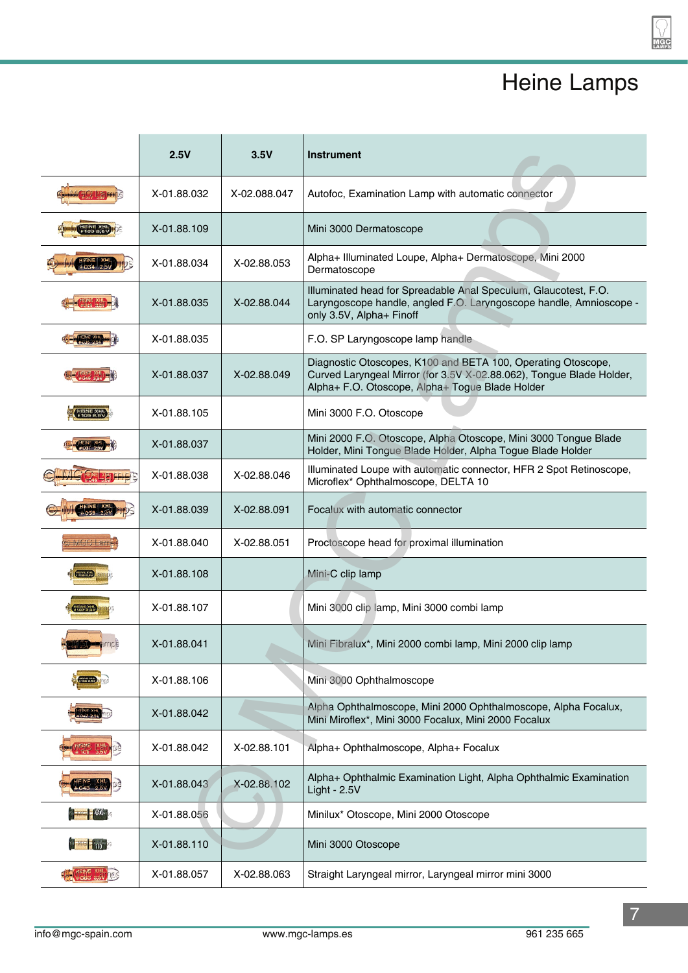## Heine Lamps

2 GC<br>MPS

|                                    | 2.5V        | 3.5V         | <b>Instrument</b>                                                                                                                                                                       |
|------------------------------------|-------------|--------------|-----------------------------------------------------------------------------------------------------------------------------------------------------------------------------------------|
|                                    | X-01.88.032 | X-02.088.047 | Autofoc, Examination Lamp with automatic connector                                                                                                                                      |
|                                    | X-01.88.109 |              | Mini 3000 Dermatoscope                                                                                                                                                                  |
|                                    | X-01.88.034 | X-02.88.053  | Alpha+ Illuminated Loupe, Alpha+ Dermatoscope, Mini 2000<br>Dermatoscope                                                                                                                |
|                                    | X-01.88.035 | X-02.88.044  | Illuminated head for Spreadable Anal Speculum, Glaucotest, F.O.<br>Laryngoscope handle, angled F.O. Laryngoscope handle, Amnioscope -<br>only 3.5V, Alpha+ Finoff                       |
|                                    | X-01.88.035 |              | F.O. SP Laryngoscope lamp handle                                                                                                                                                        |
|                                    | X-01.88.037 | X-02.88.049  | Diagnostic Otoscopes, K100 and BETA 100, Operating Otoscope,<br>Curved Laryngeal Mirror (for 3.5V X-02.88.062), Tongue Blade Holder,<br>Alpha+ F.O. Otoscope, Alpha+ Togue Blade Holder |
|                                    | X-01.88.105 |              | Mini 3000 F.O. Otoscope                                                                                                                                                                 |
|                                    | X-01.88.037 |              | Mini 2000 F.O. Otoscope, Alpha Otoscope, Mini 3000 Tongue Blade<br>Holder, Mini Tongue Blade Holder, Alpha Togue Blade Holder                                                           |
|                                    | X-01.88.038 | X-02.88.046  | Illuminated Loupe with automatic connector, HFR 2 Spot Retinoscope,<br>Microflex* Ophthalmoscope, DELTA 10                                                                              |
|                                    | X-01.88.039 | X-02.88.091  | Focalux with automatic connector                                                                                                                                                        |
| NGC Larr                           | X-01.88.040 | X-02.88.051  | Proctoscope head for proximal illumination                                                                                                                                              |
|                                    | X-01.88.108 |              | Mini-C clip lamp                                                                                                                                                                        |
| 1107 8.5V                          | X-01.88.107 |              | Mini 3000 clip lamp, Mini 3000 combi lamp                                                                                                                                               |
|                                    | X-01.88.041 |              | Mini Fibralux*, Mini 2000 combi lamp, Mini 2000 clip lamp                                                                                                                               |
|                                    | X-01.88.106 |              | Mini 3000 Ophthalmoscope                                                                                                                                                                |
|                                    | X-01.88.042 |              | Alpha Ophthalmoscope, Mini 2000 Ophthalmoscope, Alpha Focalux,<br>Mini Miroflex*, Mini 3000 Focalux, Mini 2000 Focalux                                                                  |
|                                    | X-01.88.042 | X-02.88.101  | Alpha+ Ophthalmoscope, Alpha+ Focalux                                                                                                                                                   |
|                                    | X-01.88.043 | X-02.88.102  | Alpha+ Ophthalmic Examination Light, Alpha Ophthalmic Examination<br>Light - 2.5V                                                                                                       |
| $\frac{1}{2}$ (co. $\frac{1}{2}$ ) | X-01.88.056 |              | Minilux* Otoscope, Mini 2000 Otoscope                                                                                                                                                   |
| <b>DESCRIPTION</b>                 | X-01.88.110 |              | Mini 3000 Otoscope                                                                                                                                                                      |
| <b>相似的 划 193</b>                   | X-01.88.057 | X-02.88.063  | Straight Laryngeal mirror, Laryngeal mirror mini 3000                                                                                                                                   |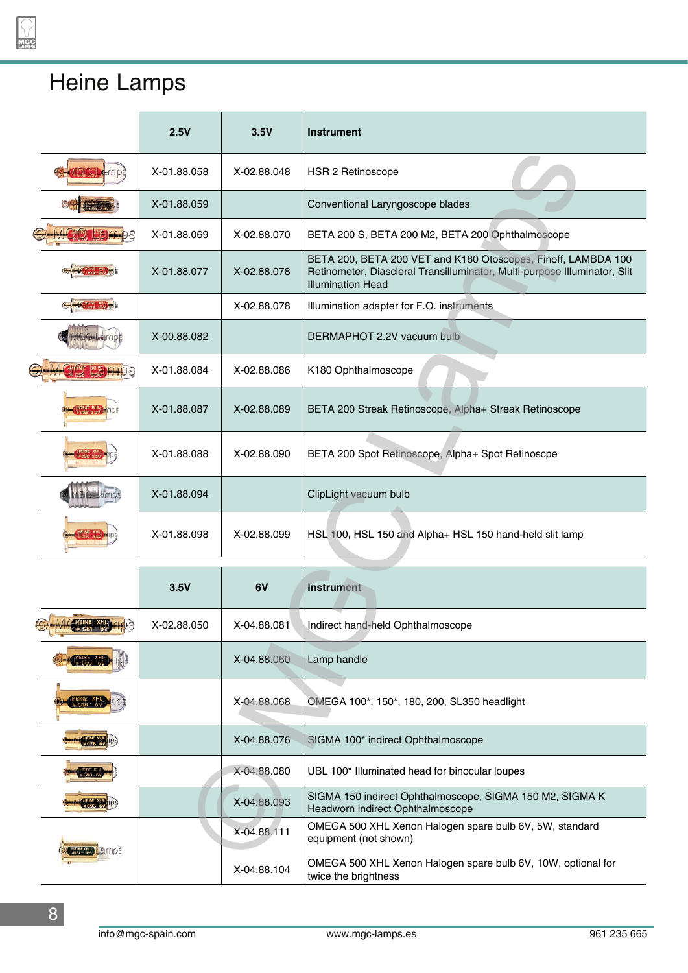## Heine Lamps

|  | 2.5V        | 3.5V        | <b>Instrument</b>                                                                                                                                                      |
|--|-------------|-------------|------------------------------------------------------------------------------------------------------------------------------------------------------------------------|
|  | X-01.88.058 | X-02.88.048 | HSR 2 Retinoscope                                                                                                                                                      |
|  | X-01.88.059 |             | Conventional Laryngoscope blades                                                                                                                                       |
|  | X-01.88.069 | X-02.88.070 | BETA 200 S, BETA 200 M2, BETA 200 Ophthalmoscope                                                                                                                       |
|  | X-01.88.077 | X-02.88.078 | BETA 200, BETA 200 VET and K180 Otoscopes, Finoff, LAMBDA 100<br>Retinometer, Diascleral Transilluminator, Multi-purpose Illuminator, Slit<br><b>Illumination Head</b> |
|  |             | X-02.88.078 | Illumination adapter for F.O. instruments                                                                                                                              |
|  | X-00.88.082 |             | DERMAPHOT 2.2V vacuum bulb                                                                                                                                             |
|  | X-01.88.084 | X-02.88.086 | K180 Ophthalmoscope                                                                                                                                                    |
|  | X-01.88.087 | X-02.88.089 | BETA 200 Streak Retinoscope, Alpha+ Streak Retinoscope                                                                                                                 |
|  | X-01.88.088 | X-02.88.090 | BETA 200 Spot Retinoscope, Alpha+ Spot Retinoscpe                                                                                                                      |
|  | X-01.88.094 |             | ClipLight vacuum bulb                                                                                                                                                  |
|  | X-01.88.098 | X-02.88.099 | HSL 100, HSL 150 and Alpha+ HSL 150 hand-held slit lamp                                                                                                                |
|  | 3.5V        | 6V          | Instrument                                                                                                                                                             |
|  |             |             |                                                                                                                                                                        |
|  | X-02.88.050 | X-04.88.081 | Indirect hand-held Ophthalmoscope                                                                                                                                      |
|  |             | X-04.88.060 | Lamp handle                                                                                                                                                            |
|  |             | X-04.88.068 | OMEGA 100*, 150*, 180, 200, SL350 headlight                                                                                                                            |
|  |             | X-04.88.076 | SIGMA 100* indirect Ophthalmoscope                                                                                                                                     |
|  |             | X-04.88.080 | UBL 100* Illuminated head for binocular loupes                                                                                                                         |
|  |             | X-04.88.093 | SIGMA 150 indirect Ophthalmoscope, SIGMA 150 M2, SIGMA K<br>Headworn indirect Ophthalmoscope                                                                           |
|  |             | X-04.88.111 | OMEGA 500 XHL Xenon Halogen spare bulb 6V, 5W, standard<br>equipment (not shown)                                                                                       |
|  |             | X-04.88.104 | OMEGA 500 XHL Xenon Halogen spare bulb 6V, 10W, optional for<br>twice the brightness                                                                                   |